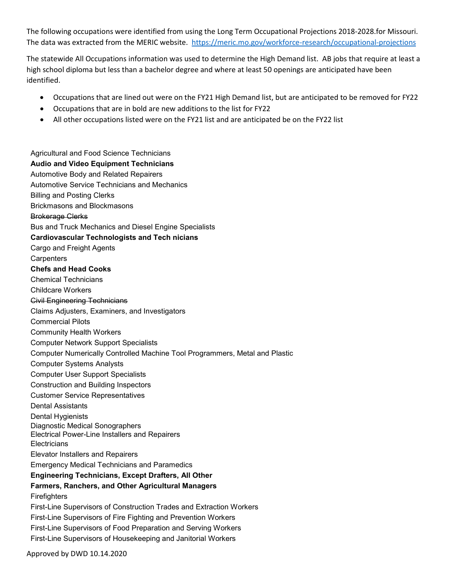The following occupations were identified from using the Long Term Occupational Projections 2018-2028.for Missouri. The data was extracted from the MERIC website. <https://meric.mo.gov/workforce-research/occupational-projections>

The statewide All Occupations information was used to determine the High Demand list. AB jobs that require at least a high school diploma but less than a bachelor degree and where at least 50 openings are anticipated have been identified.

- Occupations that are lined out were on the FY21 High Demand list, but are anticipated to be removed for FY22
- Occupations that are in bold are new additions to the list for FY22
- All other occupations listed were on the FY21 list and are anticipated be on the FY22 list

Agricultural and Food Science Technicians **Audio and Video Equipment Technicians** Automotive Body and Related Repairers Automotive Service Technicians and Mechanics Billing and Posting Clerks Brickmasons and Blockmasons Brokerage Clerks Bus and Truck Mechanics and Diesel Engine Specialists **Cardiovascular Technologists and Tech nicians** Cargo and Freight Agents **Carpenters Chefs and Head Cooks** Chemical Technicians Childcare Workers Civil Engineering Technicians Claims Adjusters, Examiners, and Investigators Commercial Pilots Community Health Workers Computer Network Support Specialists Computer Numerically Controlled Machine Tool Programmers, Metal and Plastic Computer Systems Analysts Computer User Support Specialists Construction and Building Inspectors Customer Service Representatives Dental Assistants Dental Hygienists Diagnostic Medical Sonographers Electrical Power-Line Installers and Repairers **Electricians** Elevator Installers and Repairers Emergency Medical Technicians and Paramedics **Engineering Technicians, Except Drafters, All Other Farmers, Ranchers, and Other Agricultural Managers Firefighters** First-Line Supervisors of Construction Trades and Extraction Workers First-Line Supervisors of Fire Fighting and Prevention Workers First-Line Supervisors of Food Preparation and Serving Workers First-Line Supervisors of Housekeeping and Janitorial Workers

Approved by DWD 10.14.2020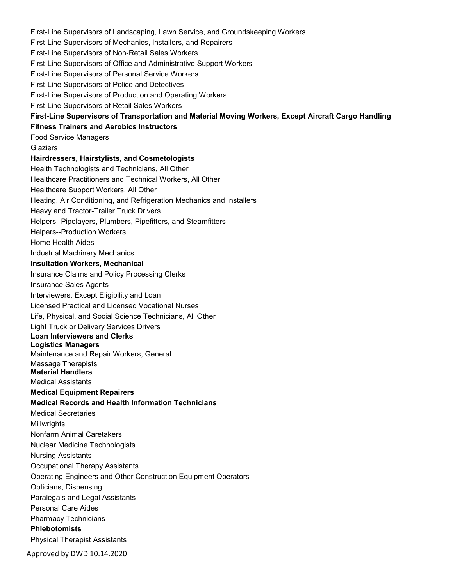Approved by DWD 10.14.2020 First-Line Supervisors of Landscaping, Lawn Service, and Groundskeeping Workers First-Line Supervisors of Mechanics, Installers, and Repairers First-Line Supervisors of Non-Retail Sales Workers First-Line Supervisors of Office and Administrative Support Workers First-Line Supervisors of Personal Service Workers First-Line Supervisors of Police and Detectives First-Line Supervisors of Production and Operating Workers First-Line Supervisors of Retail Sales Workers **First-Line Supervisors of Transportation and Material Moving Workers, Except Aircraft Cargo Handling Fitness Trainers and Aerobics Instructors** Food Service Managers Glaziers **Hairdressers, Hairstylists, and Cosmetologists** Health Technologists and Technicians, All Other Healthcare Practitioners and Technical Workers, All Other Healthcare Support Workers, All Other Heating, Air Conditioning, and Refrigeration Mechanics and Installers Heavy and Tractor-Trailer Truck Drivers Helpers--Pipelayers, Plumbers, Pipefitters, and Steamfitters Helpers--Production Workers Home Health Aides Industrial Machinery Mechanics **Insultation Workers, Mechanical** Insurance Claims and Policy Processing Clerks Insurance Sales Agents Interviewers, Except Eligibility and Loan Licensed Practical and Licensed Vocational Nurses Life, Physical, and Social Science Technicians, All Other Light Truck or Delivery Services Drivers **Loan Interviewers and Clerks Logistics Managers** Maintenance and Repair Workers, General Massage Therapists **Material Handlers** Medical Assistants **Medical Equipment Repairers Medical Records and Health Information Technicians** Medical Secretaries Millwrights Nonfarm Animal Caretakers Nuclear Medicine Technologists Nursing Assistants Occupational Therapy Assistants Operating Engineers and Other Construction Equipment Operators Opticians, Dispensing Paralegals and Legal Assistants Personal Care Aides Pharmacy Technicians **Phlebotomists** Physical Therapist Assistants